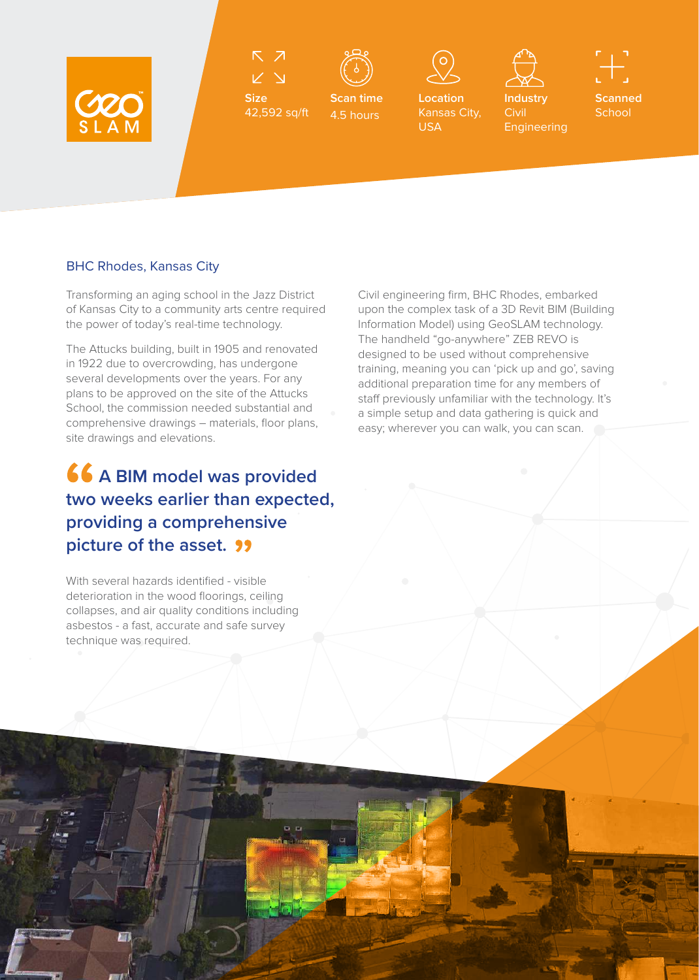

 $\triangledown$ 

42,592 sq/ft

**Size**



**Scan time** 4.5 hours



**Location**  Kansas City,

USA



**Civil** 

Engineering

**Scanned School** 

BHC Rhodes, Kansas City

Transforming an aging school in the Jazz District of Kansas City to a community arts centre required the power of today's real-time technology.

The Attucks building, built in 1905 and renovated in 1922 due to overcrowding, has undergone several developments over the years. For any plans to be approved on the site of the Attucks School, the commission needed substantial and comprehensive drawings – materials, floor plans, site drawings and elevations.

## **66 A BIM model was provided two weeks earlier than expected, providing a comprehensive picture of the asset.**

With several hazards identified - visible deterioration in the wood floorings, ceiling collapses, and air quality conditions including asbestos - a fast, accurate and safe survey technique was required.

 $D - D$ 

Civil engineering firm, BHC Rhodes, embarked upon the complex task of a 3D Revit BIM (Building Information Model) using GeoSLAM technology. The handheld "go-anywhere" ZEB REVO is designed to be used without comprehensive training, meaning you can 'pick up and go', saving additional preparation time for any members of staff previously unfamiliar with the technology. It's a simple setup and data gathering is quick and easy; wherever you can walk, you can scan.